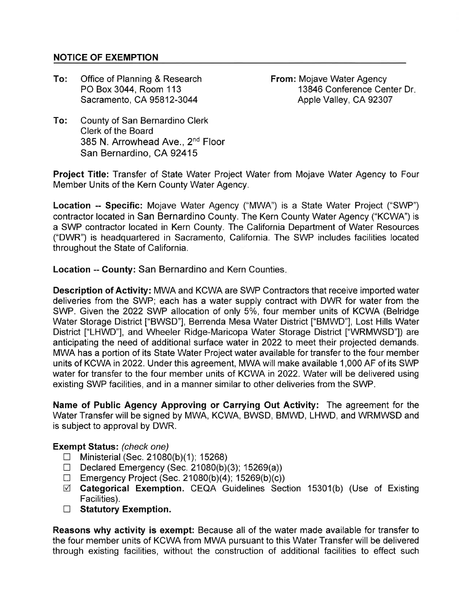## NOTICE OF EXEMPTION

To: Office of Planning & Research PO Box 3044, Room 113 Sacramento, CA 95812-3044

From: Mojave Water Agency 13846 Conference Center Dr Apple Valley, CA 92307

To: County of San Bernardino Clerk Clerk of the Board 385 N. Arrowhead Ave., 2nd Floor San Bernardino, CA 92415

Project Title: Transfer of State Water Project Water from Mojave Water Agency to Four Member Units of the Kern County Water Agency.

Location -- Specific: Mojave Water Agency ("MWA") is a State Water Project ("SWP') contractor located in San Bernardino County. The Kern County Water Agency ("KCWA") is a SWP contractor located in Kern County. The California Department of Water Resources ("DWR") is headquartered in Sacramento, California. The SWP includes facilities located throughout the State of California.

**Location -- County: San Bernardino and Kern Counties.** 

Description of Activity: MWA and KCWA are SWP Contractors that receive imported water deliveries from the SWP; each has a water supply contract with DWR for water from the SWP. Given the 2022 SWP allocation of only 5%, four member units of KCWA (Belridge Water Storage District ["BWSD'], Berrenda Mesa Water District ["BMWD"], Lost Hills Water District ["LHWD"], and Wheeler Ridge-Maricopa Water Storage District ["WRMWSD"]) are anticipating the need of additional surface water in 2022 to meet their projected demands. MWA has a portion of its State Water Project water available for transfer to the four member units of KCWA in 2022. Under this agreement, MWA will make available 1 ,000 AF of its SWP water for transfer to the four member units of KCWA in 2022. Water will be delivered using existing SWP facilities, and in a manner similar to other deliveries from the SWP.

Name of Public Agency Approving or Carrying Out Activity: The agreement for the Water Transfer will be signed by MWA, KCWA, BWSD, BMWD, LHWD, and WRMWSD and is subject to approval by DWR.

## Exempt Status: (check one)

- $\Box$  Ministerial (Sec. 21080(b)(1); 15268)
- Declared Emergency (Sec. 21080(b)(3); 15269(a))
- $\Box$  Emergency Project (Sec. 21080(b)(4); 15269(b)(c))
- $\boxtimes$  Categorical Exemption. CEQA Guidelines Section 15301(b) (Use of Existing Facilities).
- $\Box$  Statutory Exemption.

Reasons why activity is exempt: Because all of the water made available for transfer to the four member units of KCWA from MWA pursuant to this Water Transfer will be delivered through existing facilities, without the construction of additional facilities to effect such